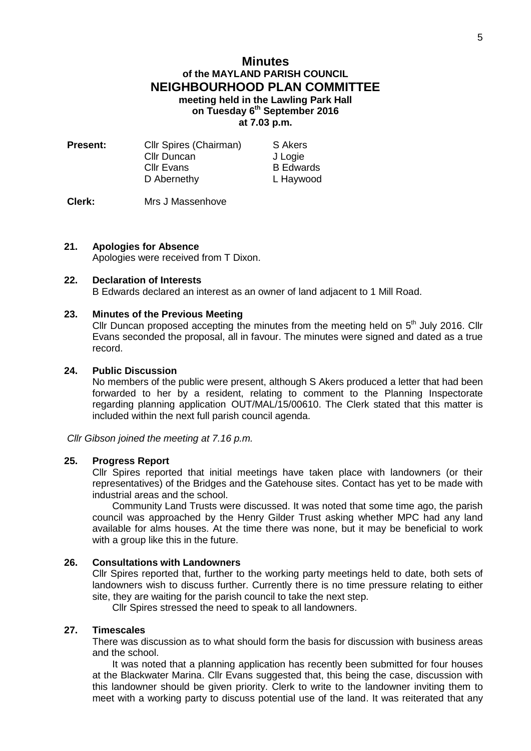# **Minutes of the MAYLAND PARISH COUNCIL NEIGHBOURHOOD PLAN COMMITTEE meeting held in the Lawling Park Hall on Tuesday 6 th September 2016 at 7.03 p.m.**

| <b>Present:</b> | Cllr Spires (Chairman) | S Akers          |
|-----------------|------------------------|------------------|
|                 | <b>Cllr Duncan</b>     | J Logie          |
|                 | <b>CIIr Evans</b>      | <b>B</b> Edwards |
|                 | D Abernethy            | L Haywood        |
|                 |                        |                  |

**Clerk:** Mrs J Massenhove

## **21. Apologies for Absence**

Apologies were received from T Dixon.

# **22. Declaration of Interests**

B Edwards declared an interest as an owner of land adjacent to 1 Mill Road.

#### **23. Minutes of the Previous Meeting**

Cllr Duncan proposed accepting the minutes from the meeting held on  $5<sup>th</sup>$  July 2016. Cllr Evans seconded the proposal, all in favour. The minutes were signed and dated as a true record.

## **24. Public Discussion**

No members of the public were present, although S Akers produced a letter that had been forwarded to her by a resident, relating to comment to the Planning Inspectorate regarding planning application OUT/MAL/15/00610. The Clerk stated that this matter is included within the next full parish council agenda.

*Cllr Gibson joined the meeting at 7.16 p.m.*

#### **25. Progress Report**

Cllr Spires reported that initial meetings have taken place with landowners (or their representatives) of the Bridges and the Gatehouse sites. Contact has yet to be made with industrial areas and the school.

Community Land Trusts were discussed. It was noted that some time ago, the parish council was approached by the Henry Gilder Trust asking whether MPC had any land available for alms houses. At the time there was none, but it may be beneficial to work with a group like this in the future.

## **26. Consultations with Landowners**

Cllr Spires reported that, further to the working party meetings held to date, both sets of landowners wish to discuss further. Currently there is no time pressure relating to either site, they are waiting for the parish council to take the next step.

Cllr Spires stressed the need to speak to all landowners.

# **27. Timescales**

There was discussion as to what should form the basis for discussion with business areas and the school.

It was noted that a planning application has recently been submitted for four houses at the Blackwater Marina. Cllr Evans suggested that, this being the case, discussion with this landowner should be given priority. Clerk to write to the landowner inviting them to meet with a working party to discuss potential use of the land. It was reiterated that any